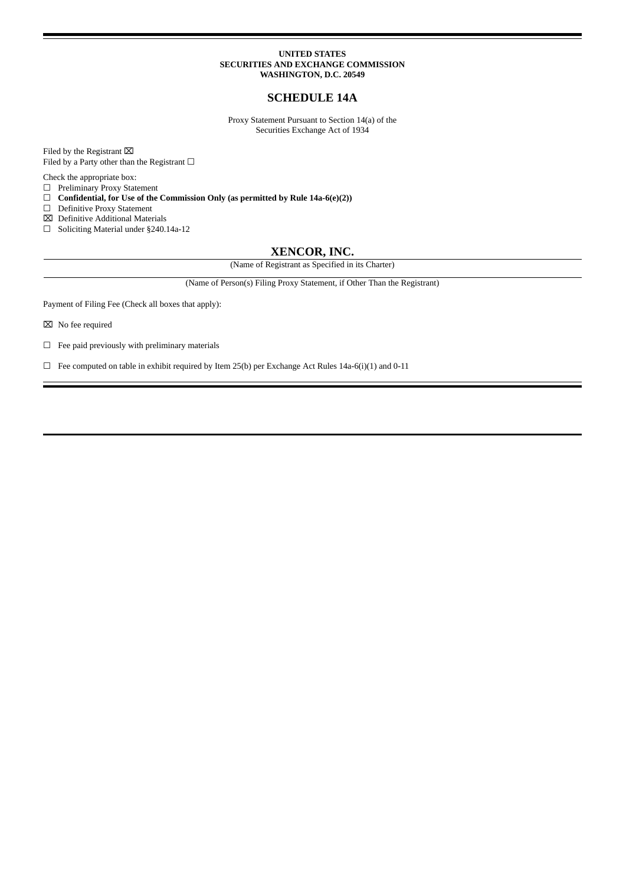#### **UNITED STATES SECURITIES AND EXCHANGE COMMISSION WASHINGTON, D.C. 20549**

## **SCHEDULE 14A**

Proxy Statement Pursuant to Section 14(a) of the Securities Exchange Act of 1934

Filed by the Registrant  $\boxtimes$ Filed by a Party other than the Registrant  $\Box$ 

Check the appropriate box:

 $\Box$  Preliminary Proxy Statement<br> $\Box$  Confidential, for Use of the

☐ **Confidential, for Use of the Commission Only (as permitted by Rule 14a-6(e)(2))**

☐ Definitive Proxy Statement

⌧ Definitive Additional Materials

☐ Soliciting Material under §240.14a-12

## **XENCOR, INC.**

(Name of Registrant as Specified in its Charter)

(Name of Person(s) Filing Proxy Statement, if Other Than the Registrant)

Payment of Filing Fee (Check all boxes that apply):

⌧ No fee required

☐ Fee paid previously with preliminary materials

☐ Fee computed on table in exhibit required by Item 25(b) per Exchange Act Rules 14a-6(i)(1) and 0-11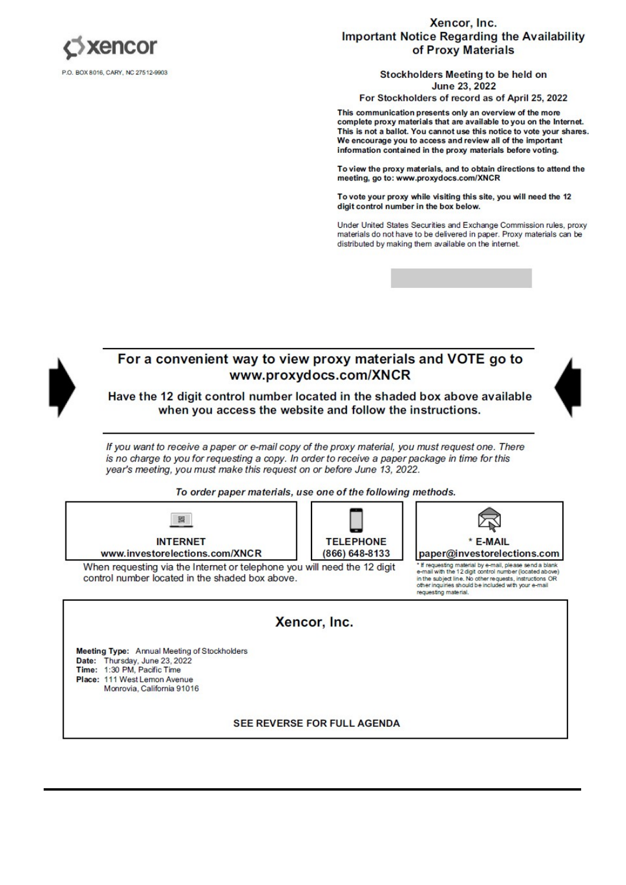

## Xencor, Inc. **Important Notice Regarding the Availability** of Proxy Materials

Stockholders Meeting to be held on **June 23, 2022** 

For Stockholders of record as of April 25, 2022

This communication presents only an overview of the more complete proxy materials that are available to you on the Internet. This is not a ballot. You cannot use this notice to vote your shares. We encourage you to access and review all of the important information contained in the proxy materials before voting.

To view the proxy materials, and to obtain directions to attend the meeting, go to: www.proxydocs.com/XNCR

To vote your proxy while visiting this site, you will need the 12 digit control number in the box below.

Under United States Securities and Exchange Commission rules, proxy materials do not have to be delivered in paper. Proxy materials can be distributed by making them available on the internet.



**SEE REVERSE FOR FULL AGENDA**